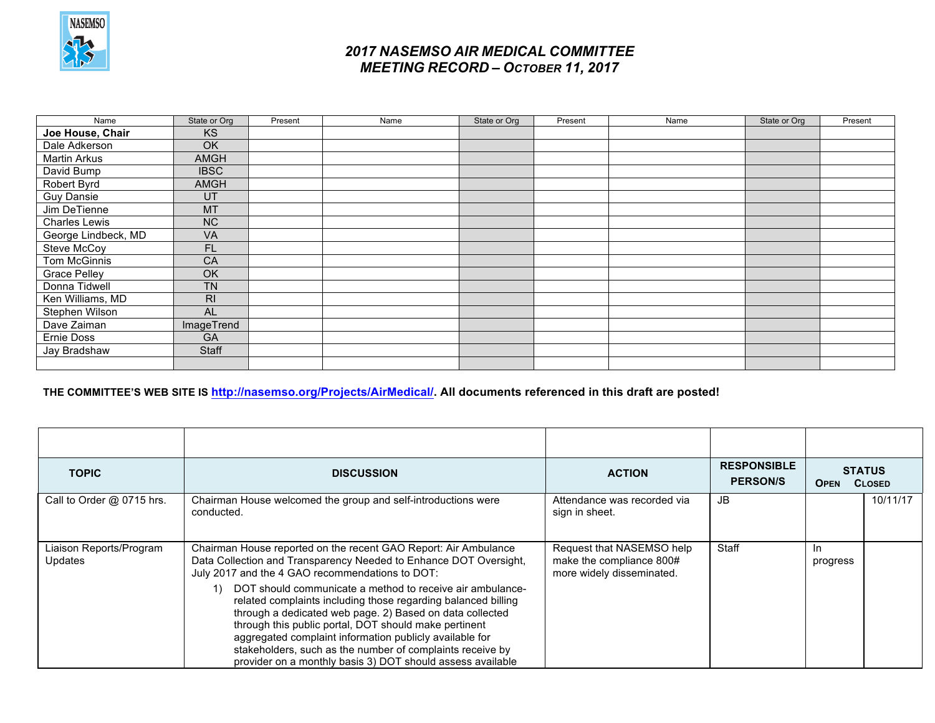

| Name                 | State or Org   | Present | Name | State or Org | Present | Name | State or Org | Present |
|----------------------|----------------|---------|------|--------------|---------|------|--------------|---------|
| Joe House, Chair     | <b>KS</b>      |         |      |              |         |      |              |         |
| Dale Adkerson        | <b>OK</b>      |         |      |              |         |      |              |         |
| <b>Martin Arkus</b>  | <b>AMGH</b>    |         |      |              |         |      |              |         |
| David Bump           | <b>IBSC</b>    |         |      |              |         |      |              |         |
| Robert Byrd          | AMGH           |         |      |              |         |      |              |         |
| <b>Guy Dansie</b>    | UT             |         |      |              |         |      |              |         |
| Jim DeTienne         | <b>MT</b>      |         |      |              |         |      |              |         |
| <b>Charles Lewis</b> | <b>NC</b>      |         |      |              |         |      |              |         |
| George Lindbeck, MD  | <b>VA</b>      |         |      |              |         |      |              |         |
| Steve McCoy          | FL.            |         |      |              |         |      |              |         |
| Tom McGinnis         | CA             |         |      |              |         |      |              |         |
| <b>Grace Pelley</b>  | <b>OK</b>      |         |      |              |         |      |              |         |
| Donna Tidwell        | <b>TN</b>      |         |      |              |         |      |              |         |
| Ken Williams, MD     | R <sub>l</sub> |         |      |              |         |      |              |         |
| Stephen Wilson       | <b>AL</b>      |         |      |              |         |      |              |         |
| Dave Zaiman          | ImageTrend     |         |      |              |         |      |              |         |
| Ernie Doss           | <b>GA</b>      |         |      |              |         |      |              |         |
| Jay Bradshaw         | Staff          |         |      |              |         |      |              |         |
|                      |                |         |      |              |         |      |              |         |

#### **THE COMMITTEE'S WEB SITE IS http://nasemso.org/Projects/AirMedical/. All documents referenced in this draft are posted!**

| <b>TOPIC</b>                       | <b>DISCUSSION</b>                                                                                                                                                                                                                                                                                                                                                                                                                           | <b>ACTION</b>                                                                      | <b>RESPONSIBLE</b><br><b>PERSON/S</b> | <b>STATUS</b><br><b>CLOSED</b><br><b>OPEN</b> |          |
|------------------------------------|---------------------------------------------------------------------------------------------------------------------------------------------------------------------------------------------------------------------------------------------------------------------------------------------------------------------------------------------------------------------------------------------------------------------------------------------|------------------------------------------------------------------------------------|---------------------------------------|-----------------------------------------------|----------|
| Call to Order @ 0715 hrs.          | Chairman House welcomed the group and self-introductions were<br>conducted.                                                                                                                                                                                                                                                                                                                                                                 | Attendance was recorded via<br>sign in sheet.                                      | JB                                    |                                               | 10/11/17 |
| Liaison Reports/Program<br>Updates | Chairman House reported on the recent GAO Report: Air Ambulance<br>Data Collection and Transparency Needed to Enhance DOT Oversight,<br>July 2017 and the 4 GAO recommendations to DOT:                                                                                                                                                                                                                                                     | Request that NASEMSO help<br>make the compliance 800#<br>more widely disseminated. | Staff                                 | In.<br>progress                               |          |
|                                    | DOT should communicate a method to receive air ambulance-<br>1)<br>related complaints including those regarding balanced billing<br>through a dedicated web page. 2) Based on data collected<br>through this public portal, DOT should make pertinent<br>aggregated complaint information publicly available for<br>stakeholders, such as the number of complaints receive by<br>provider on a monthly basis 3) DOT should assess available |                                                                                    |                                       |                                               |          |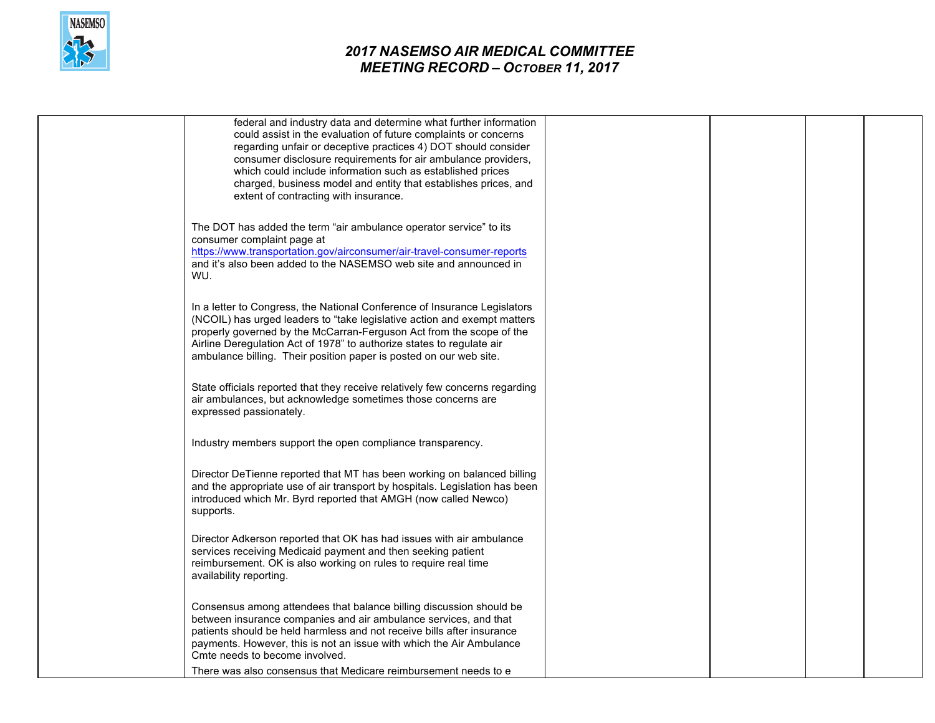

| federal and industry data and determine what further information<br>could assist in the evaluation of future complaints or concerns<br>regarding unfair or deceptive practices 4) DOT should consider<br>consumer disclosure requirements for air ambulance providers,                                                                                                       |  |
|------------------------------------------------------------------------------------------------------------------------------------------------------------------------------------------------------------------------------------------------------------------------------------------------------------------------------------------------------------------------------|--|
| which could include information such as established prices<br>charged, business model and entity that establishes prices, and<br>extent of contracting with insurance.                                                                                                                                                                                                       |  |
| The DOT has added the term "air ambulance operator service" to its<br>consumer complaint page at<br>https://www.transportation.gov/airconsumer/air-travel-consumer-reports<br>and it's also been added to the NASEMSO web site and announced in<br>WU.                                                                                                                       |  |
| In a letter to Congress, the National Conference of Insurance Legislators<br>(NCOIL) has urged leaders to "take legislative action and exempt matters<br>properly governed by the McCarran-Ferguson Act from the scope of the<br>Airline Deregulation Act of 1978" to authorize states to regulate air<br>ambulance billing. Their position paper is posted on our web site. |  |
| State officials reported that they receive relatively few concerns regarding<br>air ambulances, but acknowledge sometimes those concerns are<br>expressed passionately.                                                                                                                                                                                                      |  |
| Industry members support the open compliance transparency.                                                                                                                                                                                                                                                                                                                   |  |
| Director DeTienne reported that MT has been working on balanced billing<br>and the appropriate use of air transport by hospitals. Legislation has been<br>introduced which Mr. Byrd reported that AMGH (now called Newco)<br>supports.                                                                                                                                       |  |
| Director Adkerson reported that OK has had issues with air ambulance<br>services receiving Medicaid payment and then seeking patient<br>reimbursement. OK is also working on rules to require real time<br>availability reporting.                                                                                                                                           |  |
| Consensus among attendees that balance billing discussion should be<br>between insurance companies and air ambulance services, and that<br>patients should be held harmless and not receive bills after insurance<br>payments. However, this is not an issue with which the Air Ambulance<br>Cmte needs to become involved.                                                  |  |
| There was also consensus that Medicare reimbursement needs to e.                                                                                                                                                                                                                                                                                                             |  |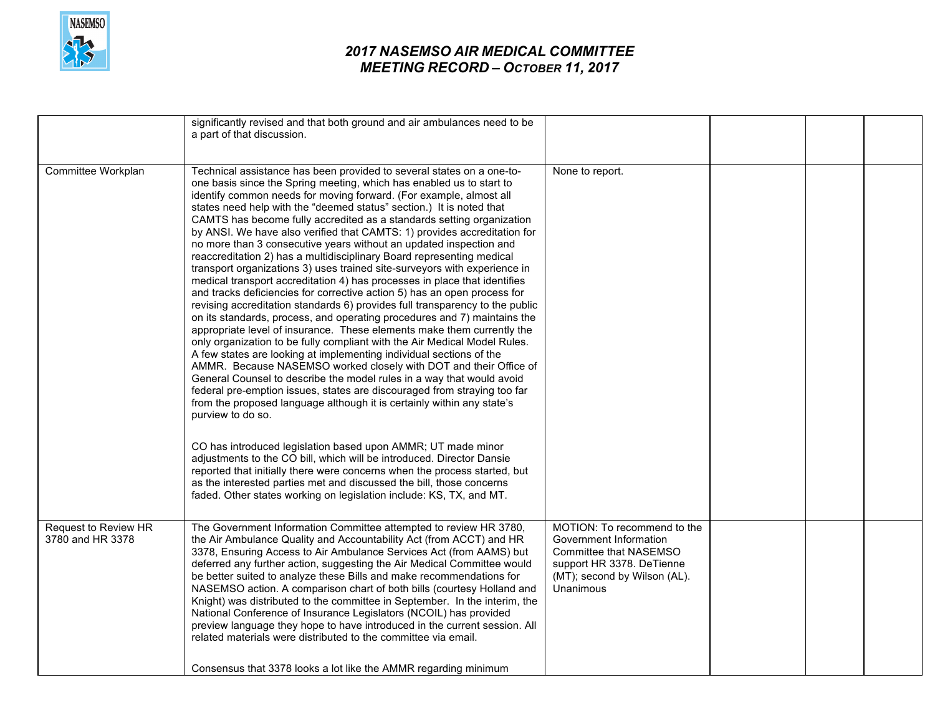

|                                          | significantly revised and that both ground and air ambulances need to be<br>a part of that discussion.                                                                                                                                                                                                                                                                                                                                                                                                                                                                                                                                                                                                                                                                                                                                                                                                                                                                                                                                                                                                                                                                                                                                                                                                                                                                                                                                                                                                                                                                                                                                                                                            |                                                                                                                                                           |  |  |
|------------------------------------------|---------------------------------------------------------------------------------------------------------------------------------------------------------------------------------------------------------------------------------------------------------------------------------------------------------------------------------------------------------------------------------------------------------------------------------------------------------------------------------------------------------------------------------------------------------------------------------------------------------------------------------------------------------------------------------------------------------------------------------------------------------------------------------------------------------------------------------------------------------------------------------------------------------------------------------------------------------------------------------------------------------------------------------------------------------------------------------------------------------------------------------------------------------------------------------------------------------------------------------------------------------------------------------------------------------------------------------------------------------------------------------------------------------------------------------------------------------------------------------------------------------------------------------------------------------------------------------------------------------------------------------------------------------------------------------------------------|-----------------------------------------------------------------------------------------------------------------------------------------------------------|--|--|
| Committee Workplan                       | Technical assistance has been provided to several states on a one-to-<br>one basis since the Spring meeting, which has enabled us to start to<br>identify common needs for moving forward. (For example, almost all<br>states need help with the "deemed status" section.) It is noted that<br>CAMTS has become fully accredited as a standards setting organization<br>by ANSI. We have also verified that CAMTS: 1) provides accreditation for<br>no more than 3 consecutive years without an updated inspection and<br>reaccreditation 2) has a multidisciplinary Board representing medical<br>transport organizations 3) uses trained site-surveyors with experience in<br>medical transport accreditation 4) has processes in place that identifies<br>and tracks deficiencies for corrective action 5) has an open process for<br>revising accreditation standards 6) provides full transparency to the public<br>on its standards, process, and operating procedures and 7) maintains the<br>appropriate level of insurance. These elements make them currently the<br>only organization to be fully compliant with the Air Medical Model Rules.<br>A few states are looking at implementing individual sections of the<br>AMMR. Because NASEMSO worked closely with DOT and their Office of<br>General Counsel to describe the model rules in a way that would avoid<br>federal pre-emption issues, states are discouraged from straying too far<br>from the proposed language although it is certainly within any state's<br>purview to do so.<br>CO has introduced legislation based upon AMMR; UT made minor<br>adjustments to the CO bill, which will be introduced. Director Dansie | None to report.                                                                                                                                           |  |  |
|                                          | reported that initially there were concerns when the process started, but<br>as the interested parties met and discussed the bill, those concerns<br>faded. Other states working on legislation include: KS, TX, and MT.                                                                                                                                                                                                                                                                                                                                                                                                                                                                                                                                                                                                                                                                                                                                                                                                                                                                                                                                                                                                                                                                                                                                                                                                                                                                                                                                                                                                                                                                          |                                                                                                                                                           |  |  |
| Request to Review HR<br>3780 and HR 3378 | The Government Information Committee attempted to review HR 3780,<br>the Air Ambulance Quality and Accountability Act (from ACCT) and HR<br>3378, Ensuring Access to Air Ambulance Services Act (from AAMS) but<br>deferred any further action, suggesting the Air Medical Committee would<br>be better suited to analyze these Bills and make recommendations for<br>NASEMSO action. A comparison chart of both bills (courtesy Holland and<br>Knight) was distributed to the committee in September. In the interim, the<br>National Conference of Insurance Legislators (NCOIL) has provided<br>preview language they hope to have introduced in the current session. All<br>related materials were distributed to the committee via email.<br>Consensus that 3378 looks a lot like the AMMR regarding minimum                                                                                                                                                                                                                                                                                                                                                                                                                                                                                                                                                                                                                                                                                                                                                                                                                                                                                 | MOTION: To recommend to the<br>Government Information<br>Committee that NASEMSO<br>support HR 3378. DeTienne<br>(MT); second by Wilson (AL).<br>Unanimous |  |  |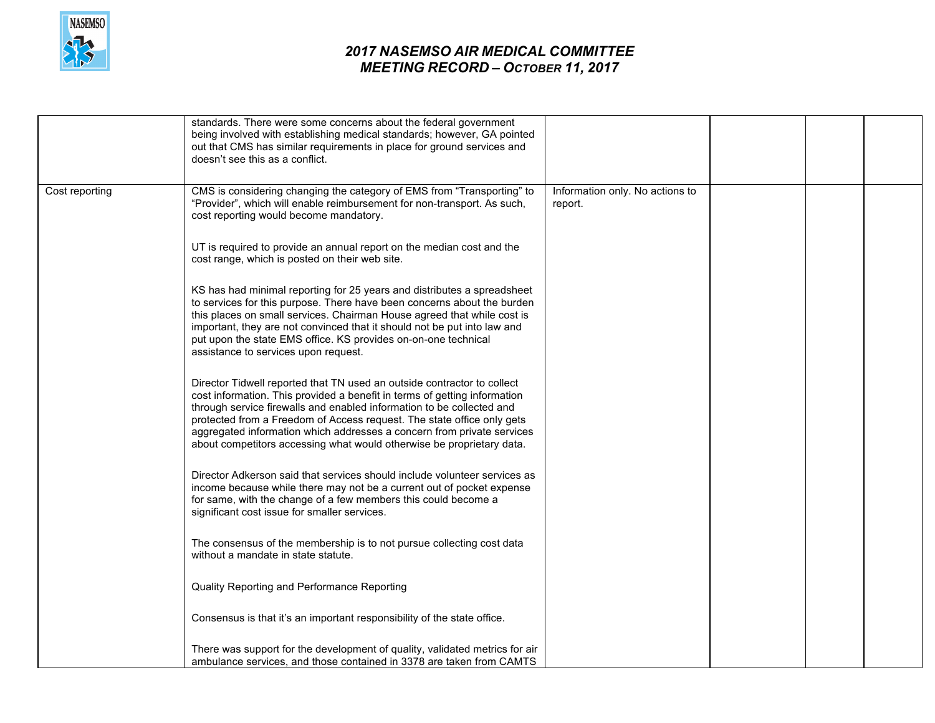

|                | standards. There were some concerns about the federal government<br>being involved with establishing medical standards; however, GA pointed<br>out that CMS has similar requirements in place for ground services and<br>doesn't see this as a conflict.                                                                                                                                                                                                   |                                            |  |  |
|----------------|------------------------------------------------------------------------------------------------------------------------------------------------------------------------------------------------------------------------------------------------------------------------------------------------------------------------------------------------------------------------------------------------------------------------------------------------------------|--------------------------------------------|--|--|
| Cost reporting | CMS is considering changing the category of EMS from "Transporting" to<br>"Provider", which will enable reimbursement for non-transport. As such,<br>cost reporting would become mandatory.                                                                                                                                                                                                                                                                | Information only. No actions to<br>report. |  |  |
|                | UT is required to provide an annual report on the median cost and the<br>cost range, which is posted on their web site.                                                                                                                                                                                                                                                                                                                                    |                                            |  |  |
|                | KS has had minimal reporting for 25 years and distributes a spreadsheet<br>to services for this purpose. There have been concerns about the burden<br>this places on small services. Chairman House agreed that while cost is<br>important, they are not convinced that it should not be put into law and<br>put upon the state EMS office. KS provides on-on-one technical<br>assistance to services upon request.                                        |                                            |  |  |
|                | Director Tidwell reported that TN used an outside contractor to collect<br>cost information. This provided a benefit in terms of getting information<br>through service firewalls and enabled information to be collected and<br>protected from a Freedom of Access request. The state office only gets<br>aggregated information which addresses a concern from private services<br>about competitors accessing what would otherwise be proprietary data. |                                            |  |  |
|                | Director Adkerson said that services should include volunteer services as<br>income because while there may not be a current out of pocket expense<br>for same, with the change of a few members this could become a<br>significant cost issue for smaller services.                                                                                                                                                                                       |                                            |  |  |
|                | The consensus of the membership is to not pursue collecting cost data<br>without a mandate in state statute.                                                                                                                                                                                                                                                                                                                                               |                                            |  |  |
|                | Quality Reporting and Performance Reporting                                                                                                                                                                                                                                                                                                                                                                                                                |                                            |  |  |
|                | Consensus is that it's an important responsibility of the state office.                                                                                                                                                                                                                                                                                                                                                                                    |                                            |  |  |
|                | There was support for the development of quality, validated metrics for air<br>ambulance services, and those contained in 3378 are taken from CAMTS                                                                                                                                                                                                                                                                                                        |                                            |  |  |